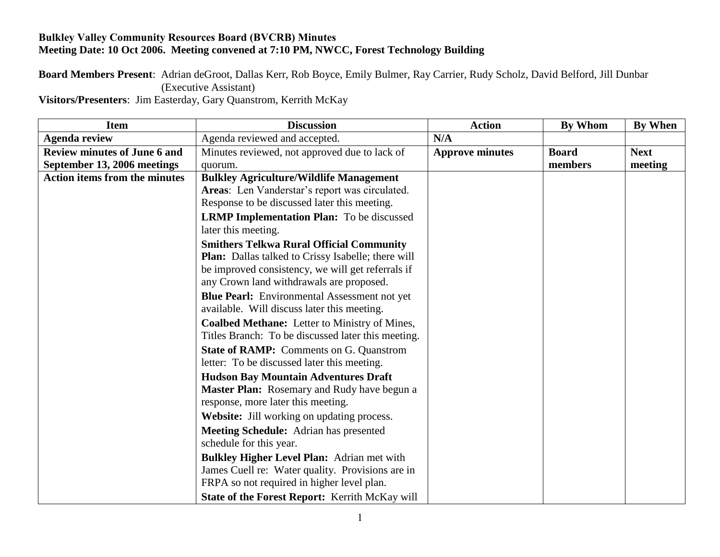## **Bulkley Valley Community Resources Board (BVCRB) Minutes Meeting Date: 10 Oct 2006. Meeting convened at 7:10 PM, NWCC, Forest Technology Building**

## **Board Members Present**: Adrian deGroot, Dallas Kerr, Rob Boyce, Emily Bulmer, Ray Carrier, Rudy Scholz, David Belford, Jill Dunbar (Executive Assistant)

**Visitors/Presenters**: Jim Easterday, Gary Quanstrom, Kerrith McKay

| <b>Item</b>                          | <b>Discussion</b>                                                       | <b>Action</b>          | <b>By Whom</b> | By When     |
|--------------------------------------|-------------------------------------------------------------------------|------------------------|----------------|-------------|
| <b>Agenda review</b>                 | Agenda reviewed and accepted.                                           | N/A                    |                |             |
| <b>Review minutes of June 6 and</b>  | Minutes reviewed, not approved due to lack of                           | <b>Approve minutes</b> | <b>Board</b>   | <b>Next</b> |
| September 13, 2006 meetings          | quorum.                                                                 |                        | members        | meeting     |
| <b>Action items from the minutes</b> | <b>Bulkley Agriculture/Wildlife Management</b>                          |                        |                |             |
|                                      | Areas: Len Vanderstar's report was circulated.                          |                        |                |             |
|                                      | Response to be discussed later this meeting.                            |                        |                |             |
|                                      | <b>LRMP Implementation Plan:</b> To be discussed<br>later this meeting. |                        |                |             |
|                                      | <b>Smithers Telkwa Rural Official Community</b>                         |                        |                |             |
|                                      | <b>Plan:</b> Dallas talked to Crissy Isabelle; there will               |                        |                |             |
|                                      | be improved consistency, we will get referrals if                       |                        |                |             |
|                                      | any Crown land withdrawals are proposed.                                |                        |                |             |
|                                      | <b>Blue Pearl:</b> Environmental Assessment not yet                     |                        |                |             |
|                                      | available. Will discuss later this meeting.                             |                        |                |             |
|                                      | Coalbed Methane: Letter to Ministry of Mines,                           |                        |                |             |
|                                      | Titles Branch: To be discussed later this meeting.                      |                        |                |             |
|                                      | <b>State of RAMP:</b> Comments on G. Quanstrom                          |                        |                |             |
|                                      | letter: To be discussed later this meeting.                             |                        |                |             |
|                                      | <b>Hudson Bay Mountain Adventures Draft</b>                             |                        |                |             |
|                                      | <b>Master Plan:</b> Rosemary and Rudy have begun a                      |                        |                |             |
|                                      | response, more later this meeting.                                      |                        |                |             |
|                                      | Website: Jill working on updating process.                              |                        |                |             |
|                                      | <b>Meeting Schedule:</b> Adrian has presented                           |                        |                |             |
|                                      | schedule for this year.                                                 |                        |                |             |
|                                      | <b>Bulkley Higher Level Plan: Adrian met with</b>                       |                        |                |             |
|                                      | James Cuell re: Water quality. Provisions are in                        |                        |                |             |
|                                      | FRPA so not required in higher level plan.                              |                        |                |             |
|                                      | State of the Forest Report: Kerrith McKay will                          |                        |                |             |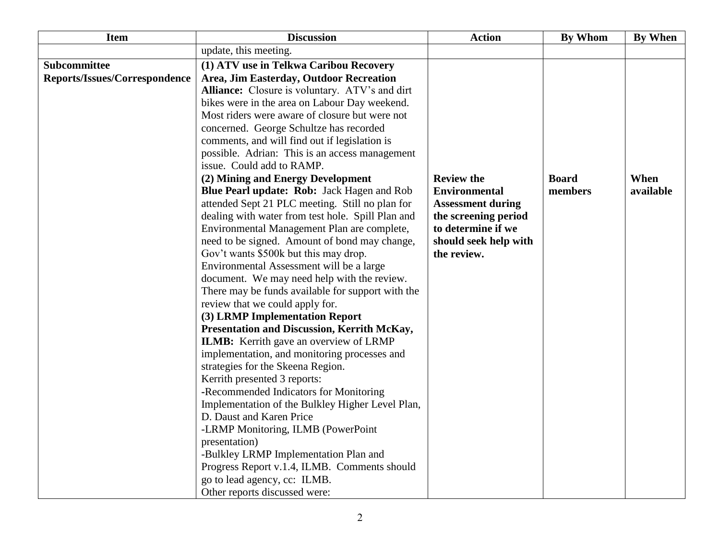| <b>Item</b>                   | <b>Discussion</b>                                                                                | <b>Action</b>                              | <b>By Whom</b> | By When   |
|-------------------------------|--------------------------------------------------------------------------------------------------|--------------------------------------------|----------------|-----------|
|                               | update, this meeting.                                                                            |                                            |                |           |
| Subcommittee                  | (1) ATV use in Telkwa Caribou Recovery                                                           |                                            |                |           |
| Reports/Issues/Correspondence | Area, Jim Easterday, Outdoor Recreation                                                          |                                            |                |           |
|                               | Alliance: Closure is voluntary. ATV's and dirt                                                   |                                            |                |           |
|                               | bikes were in the area on Labour Day weekend.                                                    |                                            |                |           |
|                               | Most riders were aware of closure but were not                                                   |                                            |                |           |
|                               | concerned. George Schultze has recorded                                                          |                                            |                |           |
|                               | comments, and will find out if legislation is                                                    |                                            |                |           |
|                               | possible. Adrian: This is an access management                                                   |                                            |                |           |
|                               | issue. Could add to RAMP.                                                                        |                                            |                |           |
|                               | (2) Mining and Energy Development                                                                | <b>Review the</b>                          | <b>Board</b>   | When      |
|                               | Blue Pearl update: Rob: Jack Hagen and Rob                                                       | <b>Environmental</b>                       | members        | available |
|                               | attended Sept 21 PLC meeting. Still no plan for                                                  | <b>Assessment during</b>                   |                |           |
|                               | dealing with water from test hole. Spill Plan and<br>Environmental Management Plan are complete, | the screening period<br>to determine if we |                |           |
|                               | need to be signed. Amount of bond may change,                                                    | should seek help with                      |                |           |
|                               | Gov't wants \$500k but this may drop.                                                            | the review.                                |                |           |
|                               | Environmental Assessment will be a large                                                         |                                            |                |           |
|                               | document. We may need help with the review.                                                      |                                            |                |           |
|                               | There may be funds available for support with the                                                |                                            |                |           |
|                               | review that we could apply for.                                                                  |                                            |                |           |
|                               | (3) LRMP Implementation Report                                                                   |                                            |                |           |
|                               | Presentation and Discussion, Kerrith McKay,                                                      |                                            |                |           |
|                               | ILMB: Kerrith gave an overview of LRMP                                                           |                                            |                |           |
|                               | implementation, and monitoring processes and                                                     |                                            |                |           |
|                               | strategies for the Skeena Region.                                                                |                                            |                |           |
|                               | Kerrith presented 3 reports:                                                                     |                                            |                |           |
|                               | -Recommended Indicators for Monitoring                                                           |                                            |                |           |
|                               | Implementation of the Bulkley Higher Level Plan,                                                 |                                            |                |           |
|                               | D. Daust and Karen Price                                                                         |                                            |                |           |
|                               | -LRMP Monitoring, ILMB (PowerPoint                                                               |                                            |                |           |
|                               | presentation)                                                                                    |                                            |                |           |
|                               | -Bulkley LRMP Implementation Plan and                                                            |                                            |                |           |
|                               | Progress Report v.1.4, ILMB. Comments should                                                     |                                            |                |           |
|                               | go to lead agency, cc: ILMB.                                                                     |                                            |                |           |
|                               | Other reports discussed were:                                                                    |                                            |                |           |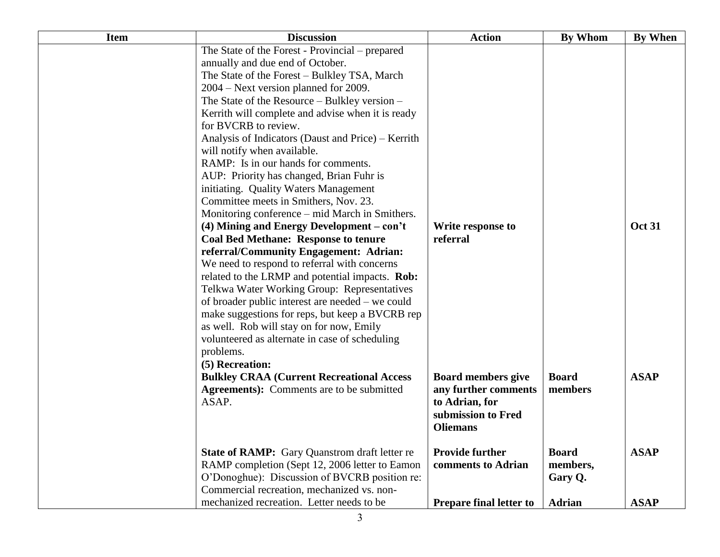| <b>Item</b> | <b>Discussion</b>                                                                                                                                                                                                                                                                                                                                                                                                                                                                                                                                                                                                                                                                                                                                                                                                                                                                                                                                                                                                       | <b>Action</b>                                                                                                                                                | <b>By Whom</b>                                                 | By When                    |
|-------------|-------------------------------------------------------------------------------------------------------------------------------------------------------------------------------------------------------------------------------------------------------------------------------------------------------------------------------------------------------------------------------------------------------------------------------------------------------------------------------------------------------------------------------------------------------------------------------------------------------------------------------------------------------------------------------------------------------------------------------------------------------------------------------------------------------------------------------------------------------------------------------------------------------------------------------------------------------------------------------------------------------------------------|--------------------------------------------------------------------------------------------------------------------------------------------------------------|----------------------------------------------------------------|----------------------------|
|             | The State of the Forest - Provincial – prepared<br>annually and due end of October.<br>The State of the Forest - Bulkley TSA, March<br>2004 – Next version planned for 2009.<br>The State of the Resource – Bulkley version –<br>Kerrith will complete and advise when it is ready<br>for BVCRB to review.<br>Analysis of Indicators (Daust and Price) – Kerrith<br>will notify when available.<br>RAMP: Is in our hands for comments.<br>AUP: Priority has changed, Brian Fuhr is<br>initiating. Quality Waters Management<br>Committee meets in Smithers, Nov. 23.<br>Monitoring conference - mid March in Smithers.<br>$(4)$ Mining and Energy Development – con't<br><b>Coal Bed Methane: Response to tenure</b><br>referral/Community Engagement: Adrian:<br>We need to respond to referral with concerns<br>related to the LRMP and potential impacts. Rob:<br>Telkwa Water Working Group: Representatives<br>of broader public interest are needed – we could<br>make suggestions for reps, but keep a BVCRB rep | Write response to<br>referral                                                                                                                                |                                                                | <b>Oct 31</b>              |
|             | as well. Rob will stay on for now, Emily<br>volunteered as alternate in case of scheduling<br>problems.<br>(5) Recreation:<br><b>Bulkley CRAA (Current Recreational Access</b><br><b>Agreements</b> ): Comments are to be submitted<br>ASAP.<br><b>State of RAMP:</b> Gary Quanstrom draft letter re<br>RAMP completion (Sept 12, 2006 letter to Eamon<br>O'Donoghue): Discussion of BVCRB position re:                                                                                                                                                                                                                                                                                                                                                                                                                                                                                                                                                                                                                 | <b>Board members give</b><br>any further comments<br>to Adrian, for<br>submission to Fred<br><b>Oliemans</b><br><b>Provide further</b><br>comments to Adrian | <b>Board</b><br>members<br><b>Board</b><br>members,<br>Gary Q. | <b>ASAP</b><br><b>ASAP</b> |
|             | Commercial recreation, mechanized vs. non-<br>mechanized recreation. Letter needs to be                                                                                                                                                                                                                                                                                                                                                                                                                                                                                                                                                                                                                                                                                                                                                                                                                                                                                                                                 | <b>Prepare final letter to</b>                                                                                                                               | <b>Adrian</b>                                                  | <b>ASAP</b>                |